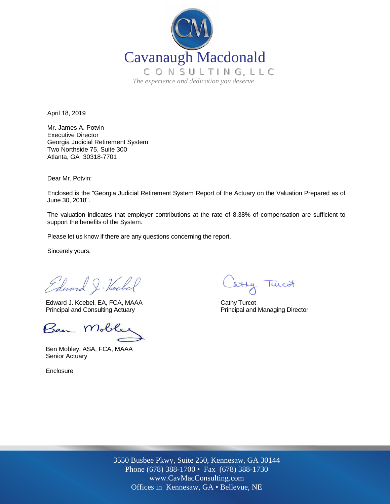

April 18, 2019

Mr. James A. Potvin Executive Director Georgia Judicial Retirement System Two Northside 75, Suite 300 Atlanta, GA 30318-7701

Dear Mr. Potvin:

Enclosed is the "Georgia Judicial Retirement System Report of the Actuary on the Valuation Prepared as of June 30, 2018".

The valuation indicates that employer contributions at the rate of 8.38% of compensation are sufficient to support the benefits of the System.

Please let us know if there are any questions concerning the report.

Sincerely yours,

Edward J. Hockel

Edward J. Koebel, EA, FCA, MAAA Cathy Turcot Principal and Consulting Actuary **Principal and Managing Director** Principal and Managing Director

Ben Mobler

Ben Mobley, ASA, FCA, MAAA Senior Actuary

**Enclosure** 

atty Tuicot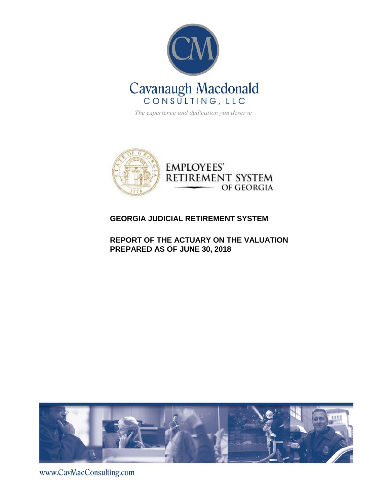

The experience and dedication you deserve



#### **GEORGIA JUDICIAL RETIREMENT SYSTEM**

**REPORT OF THE ACTUARY ON THE VALUATION PREPARED AS OF JUNE 30, 2018** 



www.CavMacConsulting.com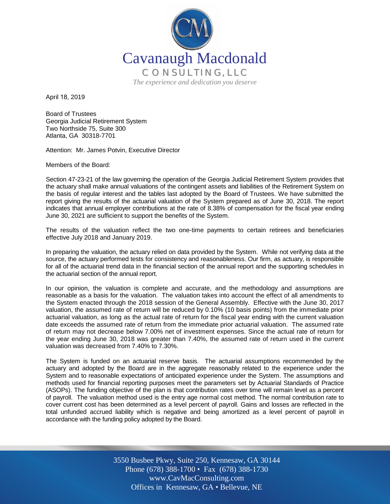

April 18, 2019

Board of Trustees Georgia Judicial Retirement System Two Northside 75, Suite 300 Atlanta, GA 30318-7701

Attention: Mr. James Potvin, Executive Director

Members of the Board:

Section 47-23-21 of the law governing the operation of the Georgia Judicial Retirement System provides that the actuary shall make annual valuations of the contingent assets and liabilities of the Retirement System on the basis of regular interest and the tables last adopted by the Board of Trustees. We have submitted the report giving the results of the actuarial valuation of the System prepared as of June 30, 2018. The report indicates that annual employer contributions at the rate of 8.38% of compensation for the fiscal year ending June 30, 2021 are sufficient to support the benefits of the System.

The results of the valuation reflect the two one-time payments to certain retirees and beneficiaries effective July 2018 and January 2019.

In preparing the valuation, the actuary relied on data provided by the System. While not verifying data at the source, the actuary performed tests for consistency and reasonableness. Our firm, as actuary, is responsible for all of the actuarial trend data in the financial section of the annual report and the supporting schedules in the actuarial section of the annual report.

In our opinion, the valuation is complete and accurate, and the methodology and assumptions are reasonable as a basis for the valuation. The valuation takes into account the effect of all amendments to the System enacted through the 2018 session of the General Assembly. Effective with the June 30, 2017 valuation, the assumed rate of return will be reduced by 0.10% (10 basis points) from the immediate prior actuarial valuation, as long as the actual rate of return for the fiscal year ending with the current valuation date exceeds the assumed rate of return from the immediate prior actuarial valuation. The assumed rate of return may not decrease below 7.00% net of investment expenses. Since the actual rate of return for the year ending June 30, 2018 was greater than 7.40%, the assumed rate of return used in the current valuation was decreased from 7.40% to 7.30%.

The System is funded on an actuarial reserve basis. The actuarial assumptions recommended by the actuary and adopted by the Board are in the aggregate reasonably related to the experience under the System and to reasonable expectations of anticipated experience under the System. The assumptions and methods used for financial reporting purposes meet the parameters set by Actuarial Standards of Practice (ASOPs). The funding objective of the plan is that contribution rates over time will remain level as a percent of payroll. The valuation method used is the entry age normal cost method. The normal contribution rate to cover current cost has been determined as a level percent of payroll. Gains and losses are reflected in the total unfunded accrued liability which is negative and being amortized as a level percent of payroll in accordance with the funding policy adopted by the Board.

> Off Offices in Kennesaw, GA • Bellevue, NE 3550 Busbee Pkwy, Suite 250, Kennesaw, GA 30144 Phone (678) 388-1700 • Fax (678) 388-1730 www.CavMacConsulting.com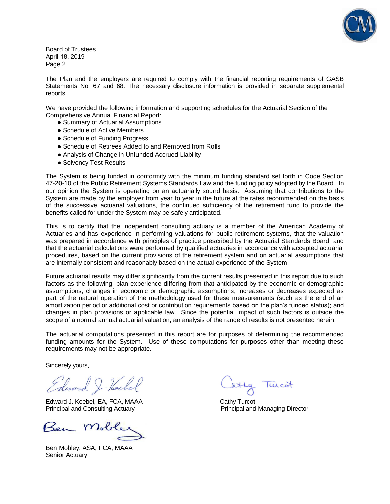

Board of Trustees April 18, 2019 Page 2

The Plan and the employers are required to comply with the financial reporting requirements of GASB Statements No. 67 and 68. The necessary disclosure information is provided in separate supplemental reports.

We have provided the following information and supporting schedules for the Actuarial Section of the Comprehensive Annual Financial Report:

- Summary of Actuarial Assumptions
- Schedule of Active Members
- Schedule of Funding Progress
- Schedule of Retirees Added to and Removed from Rolls
- Analysis of Change in Unfunded Accrued Liability
- Solvency Test Results

The System is being funded in conformity with the minimum funding standard set forth in Code Section 47-20-10 of the Public Retirement Systems Standards Law and the funding policy adopted by the Board. In our opinion the System is operating on an actuarially sound basis. Assuming that contributions to the System are made by the employer from year to year in the future at the rates recommended on the basis of the successive actuarial valuations, the continued sufficiency of the retirement fund to provide the benefits called for under the System may be safely anticipated.

This is to certify that the independent consulting actuary is a member of the American Academy of Actuaries and has experience in performing valuations for public retirement systems, that the valuation was prepared in accordance with principles of practice prescribed by the Actuarial Standards Board, and that the actuarial calculations were performed by qualified actuaries in accordance with accepted actuarial procedures, based on the current provisions of the retirement system and on actuarial assumptions that are internally consistent and reasonably based on the actual experience of the System.

Future actuarial results may differ significantly from the current results presented in this report due to such factors as the following: plan experience differing from that anticipated by the economic or demographic assumptions; changes in economic or demographic assumptions; increases or decreases expected as part of the natural operation of the methodology used for these measurements (such as the end of an amortization period or additional cost or contribution requirements based on the plan's funded status); and changes in plan provisions or applicable law. Since the potential impact of such factors is outside the scope of a normal annual actuarial valuation, an analysis of the range of results is not presented herein.

The actuarial computations presented in this report are for purposes of determining the recommended funding amounts for the System. Use of these computations for purposes other than meeting these requirements may not be appropriate.

Sincerely yours,

Edward J. Hockel

Edward J. Koebel, EA, FCA, MAAA Cathy Turcot Principal and Consulting Actuary **Principal and Managing Director** Principal and Managing Director

Ben Mobley, ASA, FCA, MAAA Senior Actuary

luico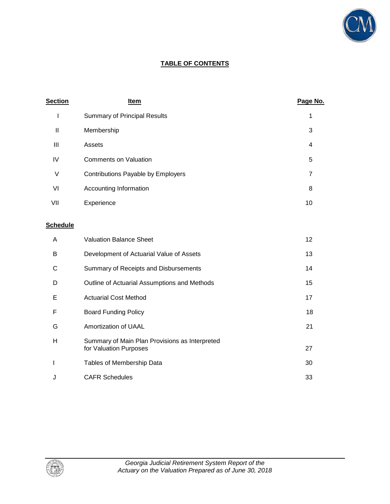

#### **TABLE OF CONTENTS**

| <b>Section</b>  | <u>Item</u>                                  | Page No.       |
|-----------------|----------------------------------------------|----------------|
| I               | <b>Summary of Principal Results</b>          | 1              |
| $\mathbf{I}$    | Membership                                   | 3              |
| III             | Assets                                       | 4              |
| IV              | <b>Comments on Valuation</b>                 | 5              |
| V               | Contributions Payable by Employers           | $\overline{7}$ |
| VI              | Accounting Information                       | 8              |
| VII             | Experience                                   | 10             |
| <b>Schedule</b> |                                              |                |
| A               | <b>Valuation Balance Sheet</b>               | 12             |
| B               | Development of Actuarial Value of Assets     | 13             |
| С               | Summary of Receipts and Disbursements        | 14             |
| D               | Outline of Actuarial Assumptions and Methods | 15             |
| Е               | <b>Actuarial Cost Method</b>                 | 17             |
| F               | <b>Board Funding Policy</b>                  | 18             |
| G               | Amortization of UAAL                         | 21             |



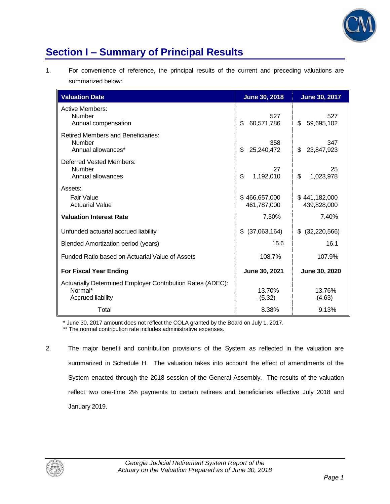

## **Section I – Summary of Principal Results**

1. For convenience of reference, the principal results of the current and preceding valuations are summarized below:

| <b>Valuation Date</b>                                                                             | <b>June 30, 2018</b>         | June 30, 2017                |
|---------------------------------------------------------------------------------------------------|------------------------------|------------------------------|
| <b>Active Members:</b><br>Number<br>Annual compensation                                           | 527<br>\$<br>60,571,786      | 527<br>\$<br>59,695,102      |
| <b>Retired Members and Beneficiaries:</b><br>Number<br>Annual allowances*                         | 358<br>\$<br>25,240,472      | 347<br>23,847,923<br>\$      |
| Deferred Vested Members:<br>Number<br>Annual allowances                                           | 27<br>\$<br>1,192,010        | 25<br>\$<br>1,023,978        |
| Assets:<br>Fair Value<br><b>Actuarial Value</b>                                                   | \$466,657,000<br>461,787,000 | \$441,182,000<br>439,828,000 |
| <b>Valuation Interest Rate</b>                                                                    | 7.30%                        | 7.40%                        |
| Unfunded actuarial accrued liability                                                              | (37,063,164)<br>\$.          | \$<br>(32, 220, 566)         |
| Blended Amortization period (years)                                                               | 15.6                         | 16.1                         |
| Funded Ratio based on Actuarial Value of Assets                                                   | 108.7%                       | 107.9%                       |
| <b>For Fiscal Year Ending</b>                                                                     | June 30, 2021                | June 30, 2020                |
| Actuarially Determined Employer Contribution Rates (ADEC):<br>Normal*<br><b>Accrued liability</b> | 13.70%<br>(5.32)             | 13.76%<br>(4.63)             |
| Total                                                                                             | 8.38%                        | 9.13%                        |

\* June 30, 2017 amount does not reflect the COLA granted by the Board on July 1, 2017.

\*\* The normal contribution rate includes administrative expenses.

2. The major benefit and contribution provisions of the System as reflected in the valuation are summarized in Schedule H. The valuation takes into account the effect of amendments of the System enacted through the 2018 session of the General Assembly. The results of the valuation reflect two one-time 2% payments to certain retirees and beneficiaries effective July 2018 and January 2019.

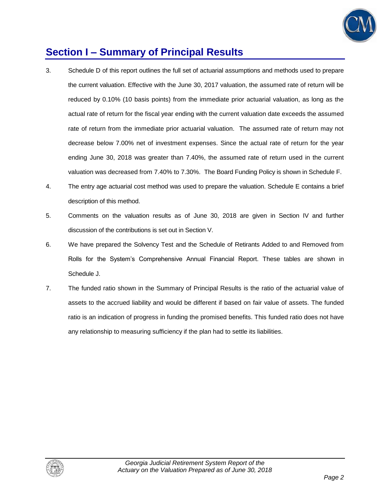

## **Section I – Summary of Principal Results**

- 3. Schedule D of this report outlines the full set of actuarial assumptions and methods used to prepare the current valuation. Effective with the June 30, 2017 valuation, the assumed rate of return will be reduced by 0.10% (10 basis points) from the immediate prior actuarial valuation, as long as the actual rate of return for the fiscal year ending with the current valuation date exceeds the assumed rate of return from the immediate prior actuarial valuation. The assumed rate of return may not decrease below 7.00% net of investment expenses. Since the actual rate of return for the year ending June 30, 2018 was greater than 7.40%, the assumed rate of return used in the current valuation was decreased from 7.40% to 7.30%. The Board Funding Policy is shown in Schedule F.
- 4. The entry age actuarial cost method was used to prepare the valuation. Schedule E contains a brief description of this method.
- 5. Comments on the valuation results as of June 30, 2018 are given in Section IV and further discussion of the contributions is set out in Section V.
- 6. We have prepared the Solvency Test and the Schedule of Retirants Added to and Removed from Rolls for the System's Comprehensive Annual Financial Report. These tables are shown in Schedule J.
- 7. The funded ratio shown in the Summary of Principal Results is the ratio of the actuarial value of assets to the accrued liability and would be different if based on fair value of assets. The funded ratio is an indication of progress in funding the promised benefits. This funded ratio does not have any relationship to measuring sufficiency if the plan had to settle its liabilities.

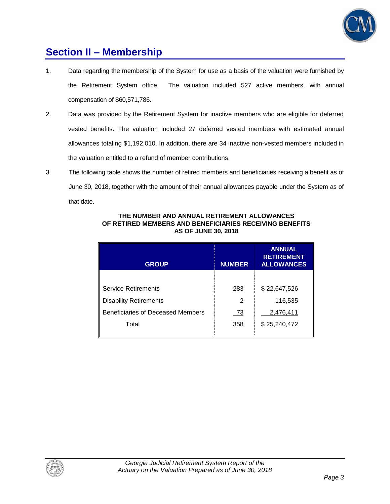

### **Section II – Membership**

- 1. Data regarding the membership of the System for use as a basis of the valuation were furnished by the Retirement System office. The valuation included 527 active members, with annual compensation of \$60,571,786.
- 2. Data was provided by the Retirement System for inactive members who are eligible for deferred vested benefits. The valuation included 27 deferred vested members with estimated annual allowances totaling \$1,192,010. In addition, there are 34 inactive non-vested members included in the valuation entitled to a refund of member contributions.
- 3. The following table shows the number of retired members and beneficiaries receiving a benefit as of June 30, 2018, together with the amount of their annual allowances payable under the System as of that date.

| <b>GROUP</b>                      | <b>NUMBER</b> | <b>ANNUAL</b><br><b>RETIREMENT</b><br><b>ALLOWANCES</b> |
|-----------------------------------|---------------|---------------------------------------------------------|
|                                   |               |                                                         |
| <b>Service Retirements</b>        | 283           | \$22,647,526                                            |
| <b>Disability Retirements</b>     | 2             | 116,535                                                 |
| Beneficiaries of Deceased Members | <u>73</u>     | 2,476,411                                               |
| Total                             | 358           | \$25,240,472                                            |

#### **THE NUMBER AND ANNUAL RETIREMENT ALLOWANCES OF RETIRED MEMBERS AND BENEFICIARIES RECEIVING BENEFITS AS OF JUNE 30, 2018**

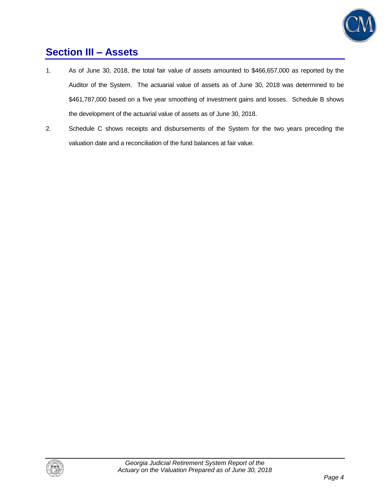

## **Section III – Assets**

- 1. As of June 30, 2018, the total fair value of assets amounted to \$466,657,000 as reported by the Auditor of the System. The actuarial value of assets as of June 30, 2018 was determined to be \$461,787,000 based on a five year smoothing of investment gains and losses. Schedule B shows the development of the actuarial value of assets as of June 30, 2018.
- 2. Schedule C shows receipts and disbursements of the System for the two years preceding the valuation date and a reconciliation of the fund balances at fair value.

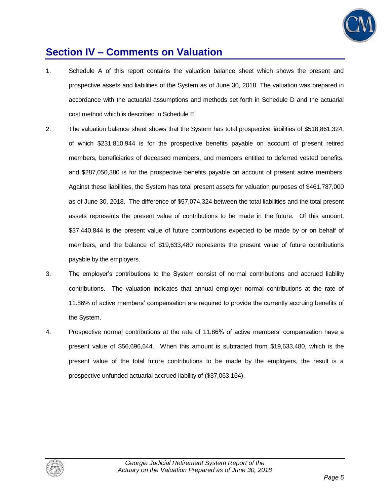

### **Section IV – Comments on Valuation**

- 1. Schedule A of this report contains the valuation balance sheet which shows the present and prospective assets and liabilities of the System as of June 30, 2018. The valuation was prepared in accordance with the actuarial assumptions and methods set forth in Schedule D and the actuarial cost method which is described in Schedule E.
- 2. The valuation balance sheet shows that the System has total prospective liabilities of \$518,861,324, of which \$231,810,944 is for the prospective benefits payable on account of present retired members, beneficiaries of deceased members, and members entitled to deferred vested benefits, and \$287,050,380 is for the prospective benefits payable on account of present active members. Against these liabilities, the System has total present assets for valuation purposes of \$461,787,000 as of June 30, 2018. The difference of \$57,074,324 between the total liabilities and the total present assets represents the present value of contributions to be made in the future. Of this amount, \$37,440,844 is the present value of future contributions expected to be made by or on behalf of members, and the balance of \$19,633,480 represents the present value of future contributions payable by the employers.
- 3. The employer's contributions to the System consist of normal contributions and accrued liability contributions. The valuation indicates that annual employer normal contributions at the rate of 11.86% of active members' compensation are required to provide the currently accruing benefits of the System.
- 4. Prospective normal contributions at the rate of 11.86% of active members' compensation have a present value of \$56,696,644. When this amount is subtracted from \$19,633,480, which is the present value of the total future contributions to be made by the employers, the result is a prospective unfunded actuarial accrued liability of (\$37,063,164).

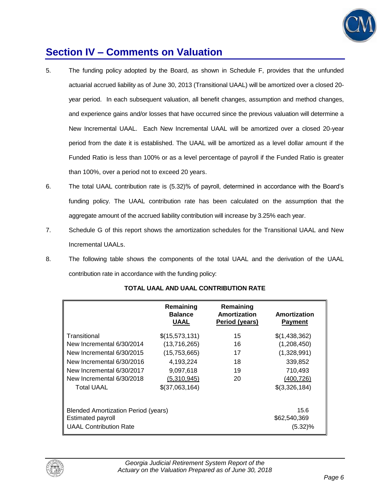

### **Section IV – Comments on Valuation**

- 5. The funding policy adopted by the Board, as shown in Schedule F, provides that the unfunded actuarial accrued liability as of June 30, 2013 (Transitional UAAL) will be amortized over a closed 20 year period. In each subsequent valuation, all benefit changes, assumption and method changes, and experience gains and/or losses that have occurred since the previous valuation will determine a New Incremental UAAL. Each New Incremental UAAL will be amortized over a closed 20-year period from the date it is established. The UAAL will be amortized as a level dollar amount if the Funded Ratio is less than 100% or as a level percentage of payroll if the Funded Ratio is greater than 100%, over a period not to exceed 20 years.
- 6. The total UAAL contribution rate is (5.32)% of payroll, determined in accordance with the Board's funding policy. The UAAL contribution rate has been calculated on the assumption that the aggregate amount of the accrued liability contribution will increase by 3.25% each year.
- 7. Schedule G of this report shows the amortization schedules for the Transitional UAAL and New Incremental UAALs.
- 8. The following table shows the components of the total UAAL and the derivation of the UAAL contribution rate in accordance with the funding policy:

|                                                                                           | Remaining<br><b>Balance</b><br>UAAL | Remaining<br>Amortization<br>Period (years) | Amortization<br><b>Payment</b>     |
|-------------------------------------------------------------------------------------------|-------------------------------------|---------------------------------------------|------------------------------------|
| Transitional                                                                              | \$(15,573,131)                      | 15                                          | \$(1,438,362)                      |
| New Incremental 6/30/2014                                                                 | (13,716,265)                        | 16                                          | (1,208,450)                        |
| New Incremental 6/30/2015                                                                 | (15,753,665)                        | 17                                          | (1,328,991)                        |
| New Incremental 6/30/2016                                                                 | 4,193,224                           | 18                                          | 339,852                            |
| New Incremental 6/30/2017                                                                 | 9,097,618                           | 19                                          | 710,493                            |
| New Incremental 6/30/2018                                                                 | (5,310,945)                         | 20                                          | (400, 726)                         |
| <b>Total UAAL</b>                                                                         | \$(37,063,164)                      |                                             | \$(3,326,184)                      |
| Blended Amortization Period (years)<br>Estimated payroll<br><b>UAAL Contribution Rate</b> |                                     |                                             | 15.6<br>\$62,540,369<br>$(5.32)\%$ |

#### **TOTAL UAAL AND UAAL CONTRIBUTION RATE**

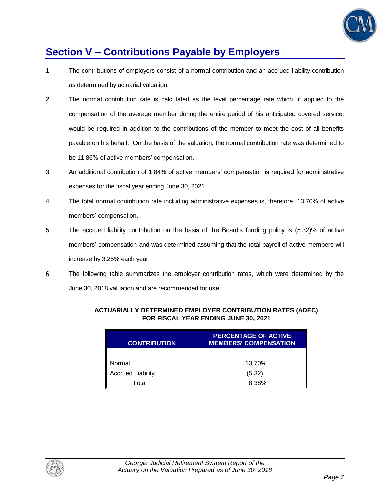

## **Section V – Contributions Payable by Employers**

- 1. The contributions of employers consist of a normal contribution and an accrued liability contribution as determined by actuarial valuation.
- 2. The normal contribution rate is calculated as the level percentage rate which, if applied to the compensation of the average member during the entire period of his anticipated covered service, would be required in addition to the contributions of the member to meet the cost of all benefits payable on his behalf. On the basis of the valuation, the normal contribution rate was determined to be 11.86% of active members' compensation.
- 3. An additional contribution of 1.84% of active members' compensation is required for administrative expenses for the fiscal year ending June 30, 2021.
- 4. The total normal contribution rate including administrative expenses is, therefore, 13.70% of active members' compensation.
- 5. The accrued liability contribution on the basis of the Board's funding policy is (5.32)% of active members' compensation and was determined assuming that the total payroll of active members will increase by 3.25% each year.
- 6. The following table summarizes the employer contribution rates, which were determined by the June 30, 2018 valuation and are recommended for use.

| <b>CONTRIBUTION</b>      | <b>PERCENTAGE OF ACTIVE</b><br><b>MEMBERS' COMPENSATION</b> |
|--------------------------|-------------------------------------------------------------|
|                          |                                                             |
| Normal                   | 13.70%                                                      |
| <b>Accrued Liability</b> | (5.32)                                                      |
| Total                    | 8.38%                                                       |

#### **ACTUARIALLY DETERMINED EMPLOYER CONTRIBUTION RATES (ADEC) FOR FISCAL YEAR ENDING JUNE 30, 2021**

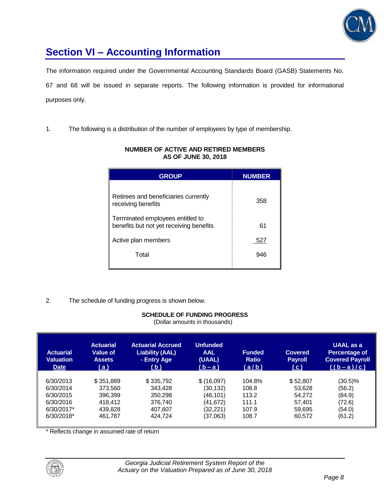

## **Section VI – Accounting Information**

The information required under the Governmental Accounting Standards Board (GASB) Statements No. 67 and 68 will be issued in separate reports. The following information is provided for informational purposes only.

1. The following is a distribution of the number of employees by type of membership.

| <b>GROUP</b>                                                                | <b>NUMBER</b> |
|-----------------------------------------------------------------------------|---------------|
| Retirees and beneficiaries currently<br>receiving benefits                  | 358           |
| Terminated employees entitled to<br>benefits but not yet receiving benefits | 61            |
| Active plan members                                                         | 527           |
| Total                                                                       | 946           |

#### **NUMBER OF ACTIVE AND RETIRED MEMBERS AS OF JUNE 30, 2018**

2. The schedule of funding progress is shown below.

### **SCHEDULE OF FUNDING PROGRESS**

(Dollar amounts in thousands)

| <b>Actuarial</b><br><b>Valuation</b><br><b>Date</b> | <b>Actuarial</b><br><b>Value of</b><br><b>Assets</b><br>(a) | <b>Actuarial Accrued</b><br><b>Liability (AAL)</b><br>- Entry Age<br>(b) | <b>Unfunded</b><br><b>AAL</b><br>(UAAL)<br>$(b-a)$ | <b>Funded</b><br><b>Ratio</b><br>(a/b) | <b>Covered</b><br><b>Payroll</b><br>(c) | <b>UAAL</b> as a<br>Percentage of<br><b>Covered Payroll</b><br>$((b-a)/c)$ |
|-----------------------------------------------------|-------------------------------------------------------------|--------------------------------------------------------------------------|----------------------------------------------------|----------------------------------------|-----------------------------------------|----------------------------------------------------------------------------|
| 6/30/2013                                           | \$351.889                                                   | \$335,792                                                                | \$(16,097)                                         | 104.8%                                 | \$52,807                                | (30.5)%                                                                    |
| 6/30/2014                                           | 373.560                                                     | 343.428                                                                  | (30,132)                                           | 108.8                                  | 53,628                                  | (56.2)                                                                     |
| 6/30/2015                                           | 396.399                                                     | 350.298                                                                  | (46.101)                                           | 113.2                                  | 54.272                                  | (84.9)                                                                     |
| 6/30/2016                                           | 418.412                                                     | 376.740                                                                  | (41,672)                                           | 111.1                                  | 57.401                                  | (72.6)                                                                     |
| 6/30/2017*                                          | 439.828                                                     | 407.607                                                                  | (32, 221)                                          | 107.9                                  | 59.695                                  | (54.0)                                                                     |
| $6/30/2018*$                                        | 461.787                                                     | 424.724                                                                  | (37,063)                                           | 108.7                                  | 60,572                                  | (61.2)                                                                     |

\* Reflects change in assumed rate of return

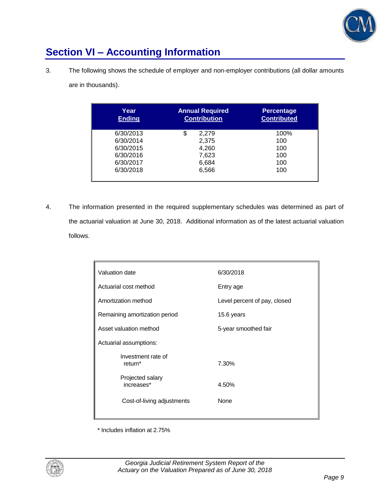

## **Section VI – Accounting Information**

3. The following shows the schedule of employer and non-employer contributions (all dollar amounts

are in thousands).

| Year<br><b>Ending</b> | <b>Annual Required</b><br><b>Contribution</b> | <b>Percentage</b><br><b>Contributed</b> |
|-----------------------|-----------------------------------------------|-----------------------------------------|
| 6/30/2013             | \$<br>2,279                                   | 100%                                    |
| 6/30/2014             | 2,375                                         | 100                                     |
| 6/30/2015             | 4,260                                         | 100                                     |
| 6/30/2016             | 7,623                                         | 100                                     |
| 6/30/2017             | 6,684                                         | 100                                     |
| 6/30/2018             | 6,566                                         | 100                                     |

4. The information presented in the required supplementary schedules was determined as part of the actuarial valuation at June 30, 2018. Additional information as of the latest actuarial valuation follows.

| Valuation date                            | 6/30/2018                    |  |
|-------------------------------------------|------------------------------|--|
| Actuarial cost method                     | Entry age                    |  |
| Amortization method                       | Level percent of pay, closed |  |
| Remaining amortization period             | 15.6 years                   |  |
| Asset valuation method                    | 5-year smoothed fair         |  |
| Actuarial assumptions:                    |                              |  |
| Investment rate of<br>return <sup>*</sup> | 7.30%                        |  |
| Projected salary<br>increases*            | 4.50%                        |  |
| Cost-of-living adjustments                | None                         |  |
|                                           |                              |  |

\* Includes inflation at 2.75%

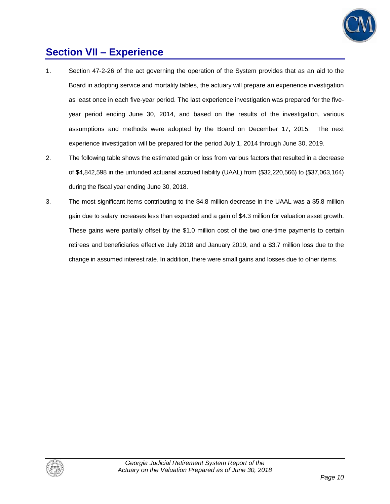

### **Section VII – Experience**

- 1. Section 47-2-26 of the act governing the operation of the System provides that as an aid to the Board in adopting service and mortality tables, the actuary will prepare an experience investigation as least once in each five-year period. The last experience investigation was prepared for the fiveyear period ending June 30, 2014, and based on the results of the investigation, various assumptions and methods were adopted by the Board on December 17, 2015. The next experience investigation will be prepared for the period July 1, 2014 through June 30, 2019.
- 2. The following table shows the estimated gain or loss from various factors that resulted in a decrease of \$4,842,598 in the unfunded actuarial accrued liability (UAAL) from (\$32,220,566) to (\$37,063,164) during the fiscal year ending June 30, 2018.
- 3. The most significant items contributing to the \$4.8 million decrease in the UAAL was a \$5.8 million gain due to salary increases less than expected and a gain of \$4.3 million for valuation asset growth. These gains were partially offset by the \$1.0 million cost of the two one-time payments to certain retirees and beneficiaries effective July 2018 and January 2019, and a \$3.7 million loss due to the change in assumed interest rate. In addition, there were small gains and losses due to other items.

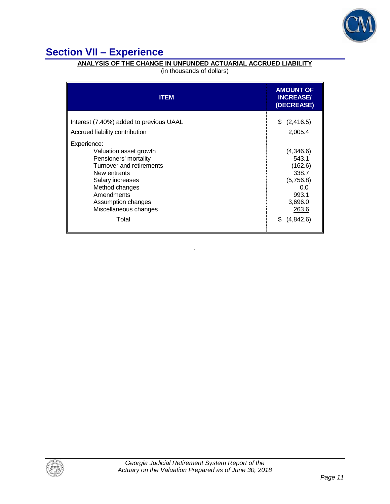

## **Section VII – Experience**

#### **ANALYSIS OF THE CHANGE IN UNFUNDED ACTUARIAL ACCRUED LIABILITY**

(in thousands of dollars)

| <b>ITEM</b>                                                                                                                                                                                                   | <b>AMOUNT OF</b><br><b>INCREASE/</b><br>(DECREASE)                                      |
|---------------------------------------------------------------------------------------------------------------------------------------------------------------------------------------------------------------|-----------------------------------------------------------------------------------------|
| Interest (7.40%) added to previous UAAL<br>Accrued liability contribution                                                                                                                                     | \$ (2,416.5)<br>2,005.4                                                                 |
| Experience:<br>Valuation asset growth<br>Pensioners' mortality<br>Turnover and retirements<br>New entrants<br>Salary increases<br>Method changes<br>Amendments<br>Assumption changes<br>Miscellaneous changes | (4,346.6)<br>543.1<br>(162.6)<br>338.7<br>(5,756.8)<br>0.0<br>993.1<br>3,696.0<br>263.6 |
| Total                                                                                                                                                                                                         | (4,842.6)<br>\$.                                                                        |

`

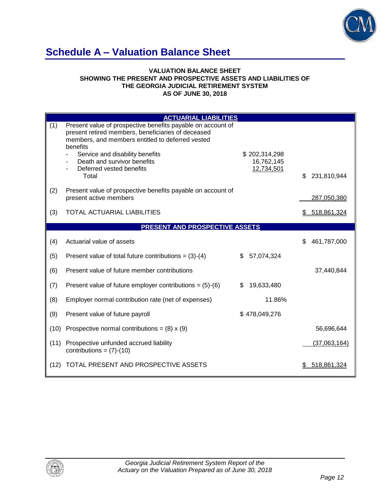

## **Schedule A – Valuation Balance Sheet**

#### **VALUATION BALANCE SHEET SHOWING THE PRESENT AND PROSPECTIVE ASSETS AND LIABILITIES OF THE GEORGIA JUDICIAL RETIREMENT SYSTEM AS OF JUNE 30, 2018**

|      | <b>ACTUARIAL LIABILITIES</b>                                                                                                                                                                                                                                                             |                                           |                   |
|------|------------------------------------------------------------------------------------------------------------------------------------------------------------------------------------------------------------------------------------------------------------------------------------------|-------------------------------------------|-------------------|
| (1)  | Present value of prospective benefits payable on account of<br>present retired members, beneficiaries of deceased<br>members, and members entitled to deferred vested<br>benefits<br>Service and disability benefits<br>Death and survivor benefits<br>Deferred vested benefits<br>Total | \$202,314,298<br>16,762,145<br>12,734,501 | \$<br>231,810,944 |
| (2)  | Present value of prospective benefits payable on account of<br>present active members                                                                                                                                                                                                    |                                           | 287,050,380       |
| (3)  | <b>TOTAL ACTUARIAL LIABILITIES</b>                                                                                                                                                                                                                                                       |                                           | 518,861,324<br>S. |
|      | PRESENT AND PROSPECTIVE ASSETS                                                                                                                                                                                                                                                           |                                           |                   |
| (4)  | Actuarial value of assets                                                                                                                                                                                                                                                                |                                           | 461,787,000<br>\$ |
| (5)  | Present value of total future contributions = $(3)-(4)$                                                                                                                                                                                                                                  | \$<br>57,074,324                          |                   |
| (6)  | Present value of future member contributions                                                                                                                                                                                                                                             |                                           | 37,440,844        |
| (7)  | Present value of future employer contributions = $(5)-(6)$                                                                                                                                                                                                                               | \$<br>19,633,480                          |                   |
| (8)  | Employer normal contribution rate (net of expenses)                                                                                                                                                                                                                                      | 11.86%                                    |                   |
| (9)  | Present value of future payroll                                                                                                                                                                                                                                                          | \$478,049,276                             |                   |
| (10) | Prospective normal contributions = $(8) \times (9)$                                                                                                                                                                                                                                      |                                           | 56,696,644        |
| (11) | Prospective unfunded accrued liability<br>contributions = $(7)-(10)$                                                                                                                                                                                                                     |                                           | (37,063,164)      |
| (12) | TOTAL PRESENT AND PROSPECTIVE ASSETS                                                                                                                                                                                                                                                     |                                           | 518,861,324       |

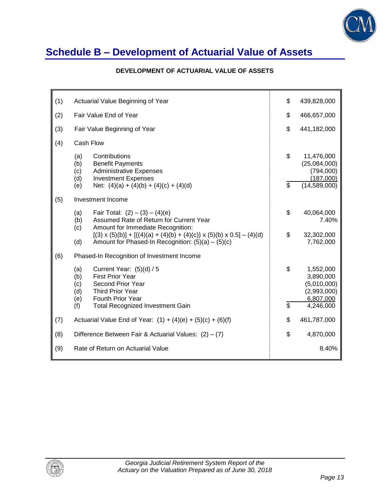

## **Schedule B – Development of Actuarial Value of Assets**

#### **DEVELOPMENT OF ACTUARIAL VALUE OF ASSETS**

| (1) | Actuarial Value Beginning of Year                                                                                                                                                       | \$       | 439,828,000                                                          |
|-----|-----------------------------------------------------------------------------------------------------------------------------------------------------------------------------------------|----------|----------------------------------------------------------------------|
|     |                                                                                                                                                                                         |          |                                                                      |
| (2) | Fair Value End of Year                                                                                                                                                                  | \$       | 466,657,000                                                          |
| (3) | Fair Value Beginning of Year                                                                                                                                                            | \$       | 441,182,000                                                          |
| (4) | Cash Flow                                                                                                                                                                               |          |                                                                      |
|     | Contributions<br>(a)<br>(b)<br><b>Benefit Payments</b><br><b>Administrative Expenses</b><br>(c)<br>(d)<br><b>Investment Expenses</b><br>(e)<br>Net: $(4)(a) + (4)(b) + (4)(c) + (4)(d)$ | \$<br>\$ | 11,476,000<br>(25,084,000)<br>(794,000)<br>(187,000)<br>(14,589,000) |
| (5) | Investment Income                                                                                                                                                                       |          |                                                                      |
|     | Fair Total: $(2) - (3) - (4)(e)$<br>(a)<br>Assumed Rate of Return for Current Year<br>(b)<br>Amount for Immediate Recognition:<br>(c)                                                   | \$       | 40,064,000<br>7.40%                                                  |
|     | $[(3) \times (5)(b)] + [ {(4)(a) + (4)(b) + (4)(c)} \times (5)(b) \times 0.5] - (4)(d)$<br>Amount for Phased-In Recognition: $(5)(a) - (5)(c)$<br>(d)                                   | \$       | 32,302,000<br>7,762,000                                              |
| (6) | Phased-In Recognition of Investment Income                                                                                                                                              |          |                                                                      |
|     | (a)<br>Current Year: $(5)(d) / 5$<br><b>First Prior Year</b><br>(b)<br><b>Second Prior Year</b><br>(c)<br>(d)<br><b>Third Prior Year</b><br><b>Fourth Prior Year</b><br>(e)             | \$       | 1,552,000<br>3,890,000<br>(5,010,000)<br>(2,993,000)<br>6,807,000    |
|     | <b>Total Recognized Investment Gain</b><br>(f)                                                                                                                                          | \$       | 4,246,000                                                            |
| (7) | Actuarial Value End of Year: $(1) + (4)(e) + (5)(c) + (6)(f)$                                                                                                                           | \$       | 461,787,000                                                          |
| (8) | Difference Between Fair & Actuarial Values: $(2) - (7)$                                                                                                                                 |          | 4,870,000                                                            |
| (9) | Rate of Return on Actuarial Value                                                                                                                                                       |          | 8.40%                                                                |

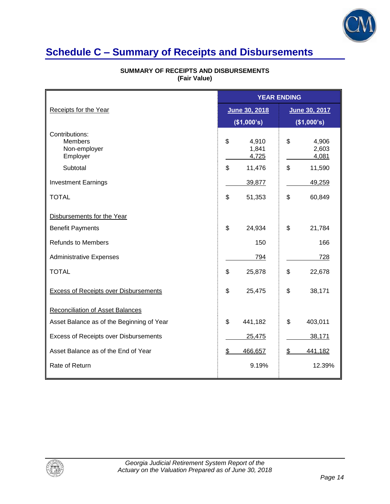

## **Schedule C – Summary of Receipts and Disbursements**

|                                                              | <b>YEAR ENDING</b>            |                               |
|--------------------------------------------------------------|-------------------------------|-------------------------------|
| Receipts for the Year                                        | June 30, 2018                 | June 30, 2017                 |
|                                                              | (\$1,000's)                   | (\$1,000's)                   |
| Contributions:<br><b>Members</b><br>Non-employer<br>Employer | \$<br>4,910<br>1,841<br>4,725 | \$<br>4,906<br>2,603<br>4,081 |
| Subtotal                                                     | \$<br>11,476                  | \$<br>11,590                  |
| <b>Investment Earnings</b>                                   | 39,877                        | 49,259                        |
| <b>TOTAL</b>                                                 | \$<br>51,353                  | \$<br>60,849                  |
| Disbursements for the Year                                   |                               |                               |
| <b>Benefit Payments</b>                                      | \$<br>24,934                  | \$<br>21,784                  |
| <b>Refunds to Members</b>                                    | 150                           | 166                           |
| <b>Administrative Expenses</b>                               | 794                           | 728                           |
| <b>TOTAL</b>                                                 | \$<br>25,878                  | \$<br>22,678                  |
| <b>Excess of Receipts over Disbursements</b>                 | \$<br>25,475                  | \$<br>38,171                  |
| <b>Reconciliation of Asset Balances</b>                      |                               |                               |
| Asset Balance as of the Beginning of Year                    | \$<br>441,182                 | \$<br>403,011                 |
| Excess of Receipts over Disbursements                        | 25,475                        | 38,171                        |
| Asset Balance as of the End of Year                          | \$<br>466,657                 | \$<br>441,182                 |
| Rate of Return                                               | 9.19%                         | 12.39%                        |

#### **SUMMARY OF RECEIPTS AND DISBURSEMENTS (Fair Value)**

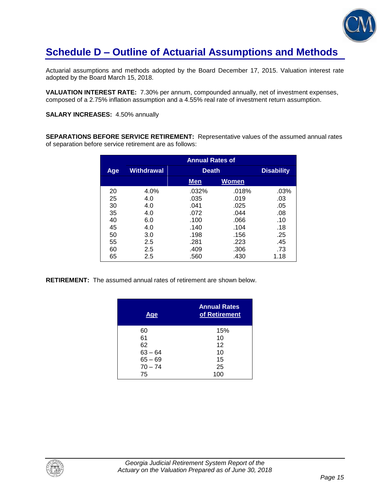

## **Schedule D – Outline of Actuarial Assumptions and Methods**

Actuarial assumptions and methods adopted by the Board December 17, 2015. Valuation interest rate adopted by the Board March 15, 2018.

**VALUATION INTEREST RATE:** 7.30% per annum, compounded annually, net of investment expenses, composed of a 2.75% inflation assumption and a 4.55% real rate of investment return assumption.

**SALARY INCREASES:** 4.50% annually

**SEPARATIONS BEFORE SERVICE RETIREMENT:** Representative values of the assumed annual rates of separation before service retirement are as follows:

|            | <b>Annual Rates of</b> |              |              |                   |
|------------|------------------------|--------------|--------------|-------------------|
| <b>Age</b> | <b>Withdrawal</b>      | <b>Death</b> |              | <b>Disability</b> |
|            |                        | Men          | <b>Women</b> |                   |
| 20         | 4.0%                   | .032%        | .018%        | .03%              |
| 25         | 4.0                    | .035         | .019         | .03               |
| 30         | 4.0                    | .041         | .025         | .05               |
| 35         | 4.0                    | .072         | .044         | .08               |
| 40         | 6.0                    | .100         | .066         | .10               |
| 45         | 4.0                    | .140         | .104         | .18               |
| 50         | 3.0                    | .198         | .156         | .25               |
| 55         | 2.5                    | .281         | .223         | .45               |
| 60         | 2.5                    | .409         | .306         | .73               |
| 65         | 2.5                    | .560         | .430         | 1.18              |

**RETIREMENT:** The assumed annual rates of retirement are shown below.

| Age       | <b>Annual Rates</b><br>of Retirement |
|-----------|--------------------------------------|
| 60        | 15%                                  |
| 61        | 10                                   |
| 62        | 12                                   |
| $63 - 64$ | 10                                   |
| $65 - 69$ | 15                                   |
| $70 - 74$ | 25                                   |
| 75        | 100                                  |

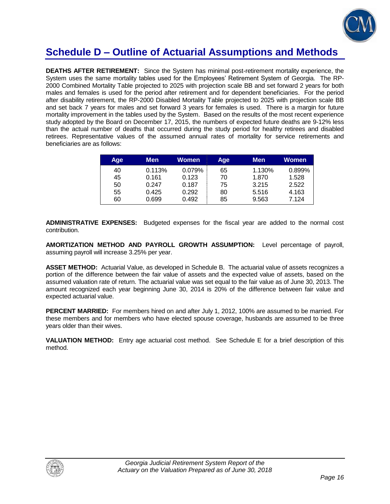

### **Schedule D – Outline of Actuarial Assumptions and Methods**

**DEATHS AFTER RETIREMENT:** Since the System has minimal post-retirement mortality experience, the System uses the same mortality tables used for the Employees' Retirement System of Georgia. The RP-2000 Combined Mortality Table projected to 2025 with projection scale BB and set forward 2 years for both males and females is used for the period after retirement and for dependent beneficiaries. For the period after disability retirement, the RP-2000 Disabled Mortality Table projected to 2025 with projection scale BB and set back 7 years for males and set forward 3 years for females is used. There is a margin for future mortality improvement in the tables used by the System. Based on the results of the most recent experience study adopted by the Board on December 17, 2015, the numbers of expected future deaths are 9-12% less than the actual number of deaths that occurred during the study period for healthy retirees and disabled retirees. Representative values of the assumed annual rates of mortality for service retirements and beneficiaries are as follows:

| Age | <b>Men</b> | Women  | Age | <b>Men</b> | Women  |
|-----|------------|--------|-----|------------|--------|
| 40  | 0.113%     | 0.079% | 65  | 1.130%     | 0.899% |
| 45  | 0.161      | 0.123  | 70  | 1.870      | 1.528  |
| 50  | 0.247      | 0.187  | 75  | 3.215      | 2.522  |
| 55  | 0.425      | 0.292  | 80  | 5.516      | 4.163  |
| 60  | 0.699      | 0.492  | 85  | 9.563      | 7.124  |

**ADMINISTRATIVE EXPENSES:** Budgeted expenses for the fiscal year are added to the normal cost contribution.

**AMORTIZATION METHOD AND PAYROLL GROWTH ASSUMPTION:** Level percentage of payroll, assuming payroll will increase 3.25% per year.

**ASSET METHOD:** Actuarial Value, as developed in Schedule B. The actuarial value of assets recognizes a portion of the difference between the fair value of assets and the expected value of assets, based on the assumed valuation rate of return. The actuarial value was set equal to the fair value as of June 30, 2013. The amount recognized each year beginning June 30, 2014 is 20% of the difference between fair value and expected actuarial value.

**PERCENT MARRIED:** For members hired on and after July 1, 2012, 100% are assumed to be married. For these members and for members who have elected spouse coverage, husbands are assumed to be three years older than their wives.

**VALUATION METHOD:** Entry age actuarial cost method. See Schedule E for a brief description of this method.

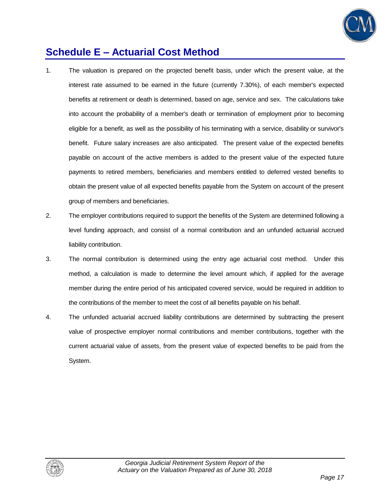

## **Schedule E – Actuarial Cost Method**

- 1. The valuation is prepared on the projected benefit basis, under which the present value, at the interest rate assumed to be earned in the future (currently 7.30%), of each member's expected benefits at retirement or death is determined, based on age, service and sex. The calculations take into account the probability of a member's death or termination of employment prior to becoming eligible for a benefit, as well as the possibility of his terminating with a service, disability or survivor's benefit. Future salary increases are also anticipated. The present value of the expected benefits payable on account of the active members is added to the present value of the expected future payments to retired members, beneficiaries and members entitled to deferred vested benefits to obtain the present value of all expected benefits payable from the System on account of the present group of members and beneficiaries.
- 2. The employer contributions required to support the benefits of the System are determined following a level funding approach, and consist of a normal contribution and an unfunded actuarial accrued liability contribution.
- 3. The normal contribution is determined using the entry age actuarial cost method. Under this method, a calculation is made to determine the level amount which, if applied for the average member during the entire period of his anticipated covered service, would be required in addition to the contributions of the member to meet the cost of all benefits payable on his behalf.
- 4. The unfunded actuarial accrued liability contributions are determined by subtracting the present value of prospective employer normal contributions and member contributions, together with the current actuarial value of assets, from the present value of expected benefits to be paid from the System.

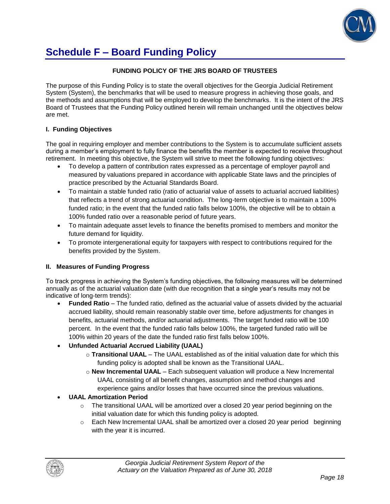

## **Schedule F – Board Funding Policy**

#### **FUNDING POLICY OF THE JRS BOARD OF TRUSTEES**

The purpose of this Funding Policy is to state the overall objectives for the Georgia Judicial Retirement System (System), the benchmarks that will be used to measure progress in achieving those goals, and the methods and assumptions that will be employed to develop the benchmarks. It is the intent of the JRS Board of Trustees that the Funding Policy outlined herein will remain unchanged until the objectives below are met.

#### **I. Funding Objectives**

The goal in requiring employer and member contributions to the System is to accumulate sufficient assets during a member's employment to fully finance the benefits the member is expected to receive throughout retirement. In meeting this objective, the System will strive to meet the following funding objectives:

- To develop a pattern of contribution rates expressed as a percentage of employer payroll and measured by valuations prepared in accordance with applicable State laws and the principles of practice prescribed by the Actuarial Standards Board.
- To maintain a stable funded ratio (ratio of actuarial value of assets to actuarial accrued liabilities) that reflects a trend of strong actuarial condition. The long-term objective is to maintain a 100% funded ratio; in the event that the funded ratio falls below 100%, the objective will be to obtain a 100% funded ratio over a reasonable period of future years.
- To maintain adequate asset levels to finance the benefits promised to members and monitor the future demand for liquidity.
- To promote intergenerational equity for taxpayers with respect to contributions required for the benefits provided by the System.

#### **II. Measures of Funding Progress**

To track progress in achieving the System's funding objectives, the following measures will be determined annually as of the actuarial valuation date (with due recognition that a single year's results may not be indicative of long-term trends):

 **Funded Ratio** – The funded ratio, defined as the actuarial value of assets divided by the actuarial accrued liability, should remain reasonably stable over time, before adjustments for changes in benefits, actuarial methods, and/or actuarial adjustments. The target funded ratio will be 100 percent. In the event that the funded ratio falls below 100%, the targeted funded ratio will be 100% within 20 years of the date the funded ratio first falls below 100%.

#### **Unfunded Actuarial Accrued Liability (UAAL)**

- o **Transitional UAAL** The UAAL established as of the initial valuation date for which this funding policy is adopted shall be known as the Transitional UAAL.
- o **New Incremental UAAL** Each subsequent valuation will produce a New Incremental UAAL consisting of all benefit changes, assumption and method changes and experience gains and/or losses that have occurred since the previous valuations.

#### **UAAL Amortization Period**

- $\circ$  The transitional UAAL will be amortized over a closed 20 year period beginning on the initial valuation date for which this funding policy is adopted.
- $\circ$  Each New Incremental UAAL shall be amortized over a closed 20 year period beginning with the year it is incurred.

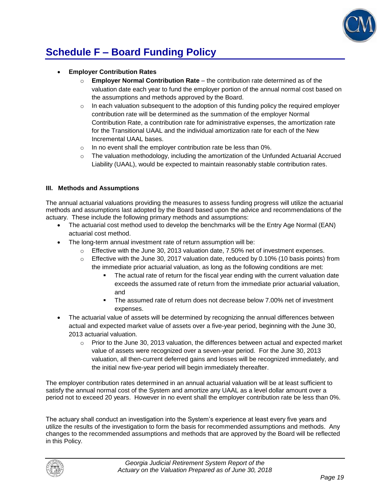

# **Schedule F – Board Funding Policy**

#### **Employer Contribution Rates**

- o **Employer Normal Contribution Rate**  the contribution rate determined as of the valuation date each year to fund the employer portion of the annual normal cost based on the assumptions and methods approved by the Board.
- $\circ$  In each valuation subsequent to the adoption of this funding policy the required employer contribution rate will be determined as the summation of the employer Normal Contribution Rate, a contribution rate for administrative expenses, the amortization rate for the Transitional UAAL and the individual amortization rate for each of the New Incremental UAAL bases.
- o In no event shall the employer contribution rate be less than 0%.
- $\circ$  The valuation methodology, including the amortization of the Unfunded Actuarial Accrued Liability (UAAL), would be expected to maintain reasonably stable contribution rates.

#### **III. Methods and Assumptions**

The annual actuarial valuations providing the measures to assess funding progress will utilize the actuarial methods and assumptions last adopted by the Board based upon the advice and recommendations of the actuary. These include the following primary methods and assumptions:

- The actuarial cost method used to develop the benchmarks will be the Entry Age Normal (EAN) actuarial cost method.
- The long-term annual investment rate of return assumption will be:
	- $\circ$  Effective with the June 30, 2013 valuation date, 7.50% net of investment expenses.
	- $\circ$  Effective with the June 30, 2017 valuation date, reduced by 0.10% (10 basis points) from the immediate prior actuarial valuation, as long as the following conditions are met:
		- The actual rate of return for the fiscal year ending with the current valuation date exceeds the assumed rate of return from the immediate prior actuarial valuation, and
		- The assumed rate of return does not decrease below 7.00% net of investment expenses.
- The actuarial value of assets will be determined by recognizing the annual differences between actual and expected market value of assets over a five-year period, beginning with the June 30, 2013 actuarial valuation.
	- $\circ$  Prior to the June 30, 2013 valuation, the differences between actual and expected market value of assets were recognized over a seven-year period. For the June 30, 2013 valuation, all then-current deferred gains and losses will be recognized immediately, and the initial new five-year period will begin immediately thereafter.

The employer contribution rates determined in an annual actuarial valuation will be at least sufficient to satisfy the annual normal cost of the System and amortize any UAAL as a level dollar amount over a period not to exceed 20 years. However in no event shall the employer contribution rate be less than 0%.

The actuary shall conduct an investigation into the System's experience at least every five years and utilize the results of the investigation to form the basis for recommended assumptions and methods. Any changes to the recommended assumptions and methods that are approved by the Board will be reflected in this Policy.

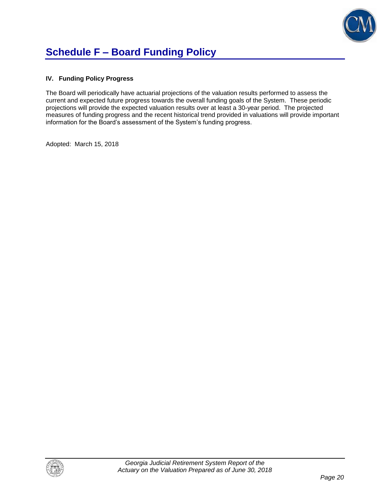

# **Schedule F – Board Funding Policy**

#### **IV. Funding Policy Progress**

The Board will periodically have actuarial projections of the valuation results performed to assess the current and expected future progress towards the overall funding goals of the System. These periodic projections will provide the expected valuation results over at least a 30-year period. The projected measures of funding progress and the recent historical trend provided in valuations will provide important information for the Board's assessment of the System's funding progress.

Adopted: March 15, 2018

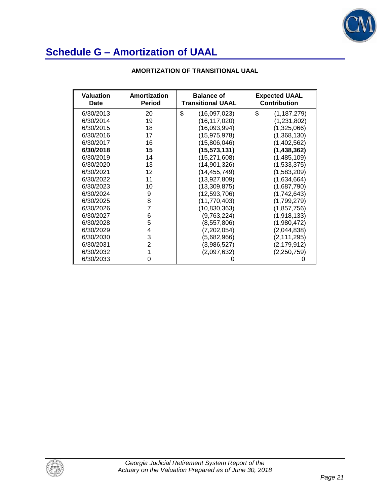

| <b>Valuation</b><br>Date | Amortization<br><b>Period</b> | <b>Balance of</b><br><b>Transitional UAAL</b> | <b>Expected UAAL</b><br><b>Contribution</b> |
|--------------------------|-------------------------------|-----------------------------------------------|---------------------------------------------|
| 6/30/2013                | 20                            | \$<br>(16,097,023)                            | \$<br>(1, 187, 279)                         |
| 6/30/2014                | 19                            | (16,117,020)                                  | (1,231,802)                                 |
| 6/30/2015                | 18                            | (16,093,994)                                  | (1,325,066)                                 |
| 6/30/2016                | 17                            | (15, 975, 978)                                | (1,368,130)                                 |
| 6/30/2017                | 16                            | (15,806,046)                                  | (1,402,562)                                 |
| 6/30/2018                | 15                            | (15, 573, 131)                                | (1, 438, 362)                               |
| 6/30/2019                | 14                            | (15, 271, 608)                                | (1,485,109)                                 |
| 6/30/2020                | 13                            | (14, 901, 326)                                | (1,533,375)                                 |
| 6/30/2021                | 12                            | (14, 455, 749)                                | (1,583,209)                                 |
| 6/30/2022                | 11                            | (13,927,809)                                  | (1,634,664)                                 |
| 6/30/2023                | 10                            | (13, 309, 875)                                | (1,687,790)                                 |
| 6/30/2024                | 9                             | (12,593,706)                                  | (1,742,643)                                 |
| 6/30/2025                | 8                             | (11,770,403)                                  | (1,799,279)                                 |
| 6/30/2026                | 7                             | (10, 830, 363)                                | (1, 857, 756)                               |
| 6/30/2027                | 6                             | (9,763,224)                                   | (1,918,133)                                 |
| 6/30/2028                | 5                             | (8,557,806)                                   | (1,980,472)                                 |
| 6/30/2029                | 4                             | (7, 202, 054)                                 | (2,044,838)                                 |
| 6/30/2030                | 3                             | (5,682,966)                                   | (2, 111, 295)                               |
| 6/30/2031                | $\overline{2}$                | (3,986,527)                                   | (2, 179, 912)                               |
| 6/30/2032                |                               | (2,097,632)                                   | (2, 250, 759)                               |
| 6/30/2033                | 0                             |                                               |                                             |

#### **AMORTIZATION OF TRANSITIONAL UAAL**

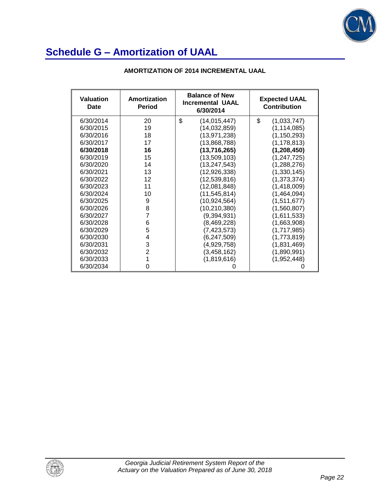

| Valuation<br>Date | Amortization<br><b>Period</b> | <b>Balance of New</b><br><b>Incremental UAAL</b><br>6/30/2014 | <b>Expected UAAL</b><br><b>Contribution</b> |
|-------------------|-------------------------------|---------------------------------------------------------------|---------------------------------------------|
| 6/30/2014         | 20                            | \$<br>(14, 015, 447)                                          | \$<br>(1,033,747)                           |
| 6/30/2015         | 19                            | (14, 032, 859)                                                | (1, 114, 085)                               |
| 6/30/2016         | 18                            | (13, 971, 238)                                                | (1, 150, 293)                               |
| 6/30/2017         | 17                            | (13,868,788)                                                  | (1, 178, 813)                               |
| 6/30/2018         | 16                            | (13, 716, 265)                                                | (1,208,450)                                 |
| 6/30/2019         | 15                            | (13,509,103)                                                  | (1, 247, 725)                               |
| 6/30/2020         | 14                            | (13, 247, 543)                                                | (1,288,276)                                 |
| 6/30/2021         | 13                            | (12, 926, 338)                                                | (1,330,145)                                 |
| 6/30/2022         | 12                            | (12, 539, 816)                                                | (1, 373, 374)                               |
| 6/30/2023         | 11                            | (12,081,848)                                                  | (1,418,009)                                 |
| 6/30/2024         | 10                            | (11, 545, 814)                                                | (1,464,094)                                 |
| 6/30/2025         | 9                             | (10, 924, 564)                                                | (1,511,677)                                 |
| 6/30/2026         | 8                             | (10, 210, 380)                                                | (1,560,807)                                 |
| 6/30/2027         | 7                             | (9,394,931)                                                   | (1,611,533)                                 |
| 6/30/2028         | 6                             | (8,469,228)                                                   | (1,663,908)                                 |
| 6/30/2029         | 5                             | (7,423,573)                                                   | (1,717,985)                                 |
| 6/30/2030         | 4                             | (6, 247, 509)                                                 | (1,773,819)                                 |
| 6/30/2031         | 3                             | (4,929,758)                                                   | (1,831,469)                                 |
| 6/30/2032         | $\overline{2}$                | (3, 458, 162)                                                 | (1,890,991)                                 |
| 6/30/2033         |                               | (1,819,616)                                                   | (1,952,448)                                 |
| 6/30/2034         | 0                             |                                                               |                                             |

#### **AMORTIZATION OF 2014 INCREMENTAL UAAL**

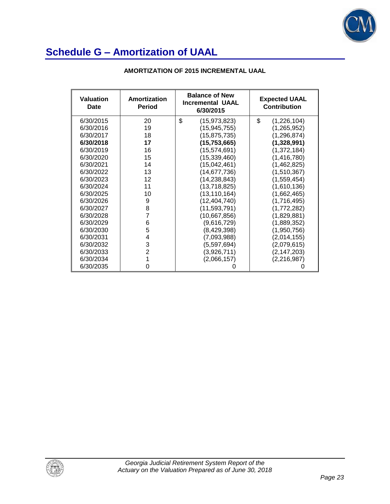

| <b>Valuation</b><br>Date | Amortization<br><b>Period</b> | <b>Balance of New</b><br><b>Incremental UAAL</b><br>6/30/2015 | <b>Expected UAAL</b><br><b>Contribution</b> |
|--------------------------|-------------------------------|---------------------------------------------------------------|---------------------------------------------|
| 6/30/2015                | 20                            | \$<br>(15, 973, 823)                                          | \$<br>(1,226,104)                           |
| 6/30/2016                | 19                            | (15, 945, 755)                                                | (1,265,952)                                 |
| 6/30/2017                | 18                            | (15, 875, 735)                                                | (1, 296, 874)                               |
| 6/30/2018                | 17                            | (15, 753, 665)                                                | (1,328,991)                                 |
| 6/30/2019                | 16                            | (15, 574, 691)                                                | (1,372,184)                                 |
| 6/30/2020                | 15                            | (15, 339, 460)                                                | (1,416,780)                                 |
| 6/30/2021                | 14                            | (15,042,461)                                                  | (1,462,825)                                 |
| 6/30/2022                | 13                            | (14,677,736)                                                  | (1,510,367)                                 |
| 6/30/2023                | 12                            | (14,238,843)                                                  | (1,559,454)                                 |
| 6/30/2024                | 11                            | (13,718,825)                                                  | (1,610,136)                                 |
| 6/30/2025                | 10                            | (13, 110, 164)                                                | (1,662,465)                                 |
| 6/30/2026                | 9                             | (12, 404, 740)                                                | (1,716,495)                                 |
| 6/30/2027                | 8                             | (11,593,791)                                                  | (1,772,282)                                 |
| 6/30/2028                | 7                             | (10,667,856)                                                  | (1,829,881)                                 |
| 6/30/2029                | 6                             | (9,616,729)                                                   | (1,889,352)                                 |
| 6/30/2030                | 5                             | (8,429,398)                                                   | (1,950,756)                                 |
| 6/30/2031                | 4                             | (7,093,988)                                                   | (2,014,155)                                 |
| 6/30/2032                | 3                             | (5,597,694)                                                   | (2,079,615)                                 |
| 6/30/2033                | $\overline{2}$                | (3,926,711)                                                   | (2, 147, 203)                               |
| 6/30/2034                | 1                             | (2,066,157)                                                   | (2, 216, 987)                               |
| 6/30/2035                | 0                             |                                                               |                                             |

#### **AMORTIZATION OF 2015 INCREMENTAL UAAL**

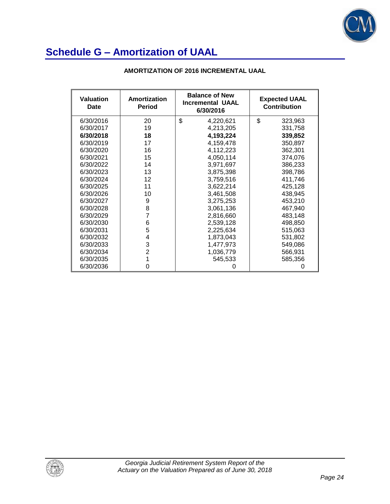

| <b>Valuation</b><br>Date | Amortization<br><b>Period</b> | <b>Balance of New</b><br><b>Incremental UAAL</b><br>6/30/2016 | <b>Expected UAAL</b><br><b>Contribution</b> |
|--------------------------|-------------------------------|---------------------------------------------------------------|---------------------------------------------|
| 6/30/2016                | 20                            | \$<br>4,220,621                                               | \$<br>323,963                               |
| 6/30/2017                | 19                            | 4,213,205                                                     | 331,758                                     |
| 6/30/2018                | 18                            | 4,193,224                                                     | 339,852                                     |
| 6/30/2019                | 17                            | 4,159,478                                                     | 350,897                                     |
| 6/30/2020                | 16                            | 4,112,223                                                     | 362,301                                     |
| 6/30/2021                | 15                            | 4,050,114                                                     | 374,076                                     |
| 6/30/2022                | 14                            | 3,971,697                                                     | 386,233                                     |
| 6/30/2023                | 13                            | 3,875,398                                                     | 398,786                                     |
| 6/30/2024                | 12                            | 3,759,516                                                     | 411,746                                     |
| 6/30/2025                | 11                            | 3,622,214                                                     | 425,128                                     |
| 6/30/2026                | 10                            | 3,461,508                                                     | 438,945                                     |
| 6/30/2027                | 9                             | 3,275,253                                                     | 453,210                                     |
| 6/30/2028                | 8                             | 3,061,136                                                     | 467,940                                     |
| 6/30/2029                | 7                             | 2,816,660                                                     | 483,148                                     |
| 6/30/2030                | 6                             | 2,539,128                                                     | 498,850                                     |
| 6/30/2031                | 5                             | 2,225,634                                                     | 515,063                                     |
| 6/30/2032                | 4                             | 1,873,043                                                     | 531,802                                     |
| 6/30/2033                | 3                             | 1,477,973                                                     | 549,086                                     |
| 6/30/2034                | $\overline{2}$                | 1,036,779                                                     | 566,931                                     |
| 6/30/2035                |                               | 545,533                                                       | 585,356                                     |
| 6/30/2036                | 0                             |                                                               |                                             |

#### **AMORTIZATION OF 2016 INCREMENTAL UAAL**

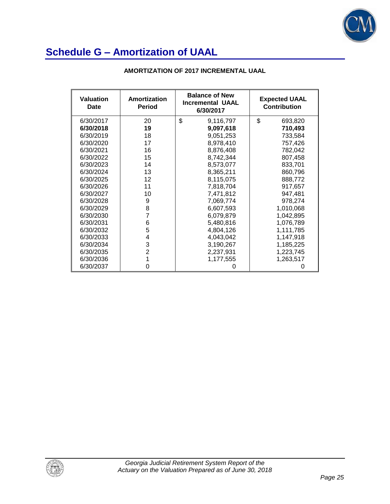

| <b>Valuation</b><br>Date | Amortization<br><b>Period</b> | <b>Balance of New</b><br><b>Incremental UAAL</b><br>6/30/2017 | <b>Expected UAAL</b><br><b>Contribution</b> |
|--------------------------|-------------------------------|---------------------------------------------------------------|---------------------------------------------|
| 6/30/2017                | 20                            | \$<br>9,116,797                                               | \$<br>693,820                               |
| 6/30/2018                | 19                            | 9,097,618                                                     | 710,493                                     |
| 6/30/2019                | 18                            | 9,051,253                                                     | 733,584                                     |
| 6/30/2020                | 17                            | 8,978,410                                                     | 757,426                                     |
| 6/30/2021                | 16                            | 8,876,408                                                     | 782,042                                     |
| 6/30/2022                | 15                            | 8,742,344                                                     | 807,458                                     |
| 6/30/2023                | 14                            | 8,573,077                                                     | 833,701                                     |
| 6/30/2024                | 13                            | 8,365,211                                                     | 860,796                                     |
| 6/30/2025                | 12                            | 8,115,075                                                     | 888,772                                     |
| 6/30/2026                | 11                            | 7,818,704                                                     | 917,657                                     |
| 6/30/2027                | 10                            | 7,471,812                                                     | 947,481                                     |
| 6/30/2028                | 9                             | 7,069,774                                                     | 978,274                                     |
| 6/30/2029                | 8                             | 6,607,593                                                     | 1,010,068                                   |
| 6/30/2030                | 7                             | 6,079,879                                                     | 1,042,895                                   |
| 6/30/2031                | 6                             | 5,480,816                                                     | 1,076,789                                   |
| 6/30/2032                | 5                             | 4,804,126                                                     | 1,111,785                                   |
| 6/30/2033                | 4                             | 4,043,042                                                     | 1,147,918                                   |
| 6/30/2034                | 3                             | 3,190,267                                                     | 1,185,225                                   |
| 6/30/2035                | $\overline{2}$                | 2,237,931                                                     | 1,223,745                                   |
| 6/30/2036                | 1                             | 1,177,555                                                     | 1,263,517                                   |
| 6/30/2037                | O                             |                                                               |                                             |

#### **AMORTIZATION OF 2017 INCREMENTAL UAAL**

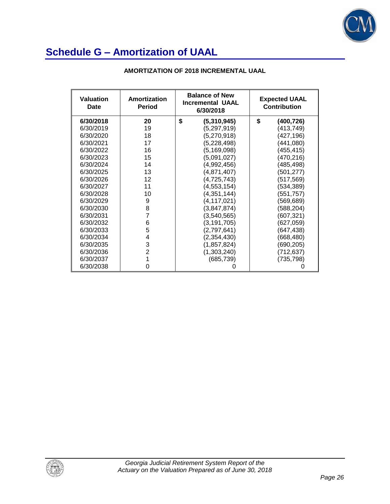

| Valuation<br>Date | Amortization<br>Period | <b>Balance of New</b><br><b>Incremental UAAL</b><br>6/30/2018 | <b>Expected UAAL</b><br><b>Contribution</b> |
|-------------------|------------------------|---------------------------------------------------------------|---------------------------------------------|
| 6/30/2018         | 20                     | \$<br>(5,310,945)                                             | \$<br>(400,726)                             |
| 6/30/2019         | 19                     | (5,297,919)                                                   | (413,749)                                   |
| 6/30/2020         | 18                     | (5,270,918)                                                   | (427,196)                                   |
| 6/30/2021         | 17                     | (5,228,498)                                                   | (441,080)                                   |
| 6/30/2022         | 16                     | (5,169,098)                                                   | (455,415)                                   |
| 6/30/2023         | 15                     | (5,091,027)                                                   | (470,216)                                   |
| 6/30/2024         | 14                     | (4,992,456)                                                   | (485,498)                                   |
| 6/30/2025         | 13                     | (4,871,407)                                                   | (501,277)                                   |
| 6/30/2026         | 12                     | (4, 725, 743)                                                 | (517,569)                                   |
| 6/30/2027         | 11                     | (4, 553, 154)                                                 | (534,389)                                   |
| 6/30/2028         | 10                     | (4,351,144)                                                   | (551,757)                                   |
| 6/30/2029         | 9                      | (4, 117, 021)                                                 | (569,689)                                   |
| 6/30/2030         | 8                      | (3,847,874)                                                   | (588,204)                                   |
| 6/30/2031         | 7                      | (3,540,565)                                                   | (607,321)                                   |
| 6/30/2032         | 6                      | (3, 191, 705)                                                 | (627,059)                                   |
| 6/30/2033         | 5                      | (2,797,641)                                                   | (647,438)                                   |
| 6/30/2034         | 4                      | (2,354,430)                                                   | (668,480)                                   |
| 6/30/2035         | 3                      | (1, 857, 824)                                                 | (690,205)                                   |
| 6/30/2036         | $\overline{2}$         | (1,303,240)                                                   | (712,637)                                   |
| 6/30/2037         |                        | (685, 739)                                                    | (735,798)                                   |
| 6/30/2038         | 0                      |                                                               |                                             |

#### **AMORTIZATION OF 2018 INCREMENTAL UAAL**

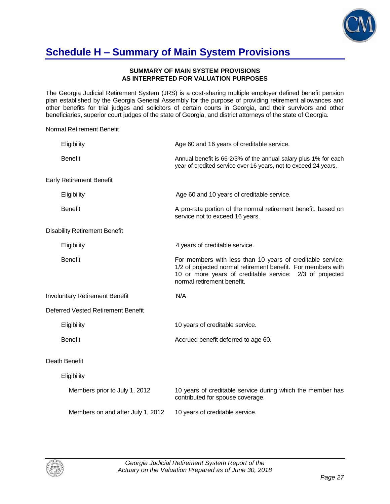

## **Schedule H – Summary of Main System Provisions**

#### **SUMMARY OF MAIN SYSTEM PROVISIONS AS INTERPRETED FOR VALUATION PURPOSES**

The Georgia Judicial Retirement System (JRS) is a cost-sharing multiple employer defined benefit pension plan established by the Georgia General Assembly for the purpose of providing retirement allowances and other benefits for trial judges and solicitors of certain courts in Georgia, and their survivors and other beneficiaries, superior court judges of the state of Georgia, and district attorneys of the state of Georgia.

Normal Retirement Benefit

| Eligibility                           | Age 60 and 16 years of creditable service.                                                                                                                                                                           |
|---------------------------------------|----------------------------------------------------------------------------------------------------------------------------------------------------------------------------------------------------------------------|
| <b>Benefit</b>                        | Annual benefit is 66-2/3% of the annual salary plus 1% for each<br>year of credited service over 16 years, not to exceed 24 years.                                                                                   |
| <b>Early Retirement Benefit</b>       |                                                                                                                                                                                                                      |
| Eligibility                           | Age 60 and 10 years of creditable service.                                                                                                                                                                           |
| <b>Benefit</b>                        | A pro-rata portion of the normal retirement benefit, based on<br>service not to exceed 16 years.                                                                                                                     |
| <b>Disability Retirement Benefit</b>  |                                                                                                                                                                                                                      |
| Eligibility                           | 4 years of creditable service.                                                                                                                                                                                       |
| <b>Benefit</b>                        | For members with less than 10 years of creditable service:<br>1/2 of projected normal retirement benefit. For members with<br>10 or more years of creditable service: 2/3 of projected<br>normal retirement benefit. |
| <b>Involuntary Retirement Benefit</b> | N/A                                                                                                                                                                                                                  |
| Deferred Vested Retirement Benefit    |                                                                                                                                                                                                                      |
| Eligibility                           | 10 years of creditable service.                                                                                                                                                                                      |
| <b>Benefit</b>                        | Accrued benefit deferred to age 60.                                                                                                                                                                                  |
| Death Benefit                         |                                                                                                                                                                                                                      |
| Eligibility                           |                                                                                                                                                                                                                      |
| Members prior to July 1, 2012         | 10 years of creditable service during which the member has<br>contributed for spouse coverage.                                                                                                                       |
| Members on and after July 1, 2012     | 10 years of creditable service.                                                                                                                                                                                      |

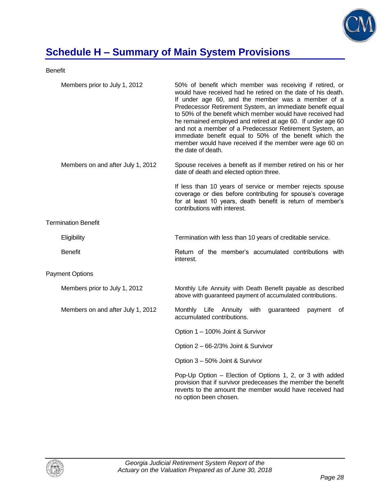

# **Schedule H – Summary of Main System Provisions**

Benefit

| Members prior to July 1, 2012     | 50% of benefit which member was receiving if retired, or<br>would have received had he retired on the date of his death.<br>If under age 60, and the member was a member of a<br>Predecessor Retirement System, an immediate benefit equal<br>to 50% of the benefit which member would have received had<br>he remained employed and retired at age 60. If under age 60<br>and not a member of a Predecessor Retirement System, an<br>immediate benefit equal to 50% of the benefit which the<br>member would have received if the member were age 60 on<br>the date of death. |
|-----------------------------------|--------------------------------------------------------------------------------------------------------------------------------------------------------------------------------------------------------------------------------------------------------------------------------------------------------------------------------------------------------------------------------------------------------------------------------------------------------------------------------------------------------------------------------------------------------------------------------|
| Members on and after July 1, 2012 | Spouse receives a benefit as if member retired on his or her<br>date of death and elected option three.                                                                                                                                                                                                                                                                                                                                                                                                                                                                        |
|                                   | If less than 10 years of service or member rejects spouse<br>coverage or dies before contributing for spouse's coverage<br>for at least 10 years, death benefit is return of member's<br>contributions with interest.                                                                                                                                                                                                                                                                                                                                                          |
| <b>Termination Benefit</b>        |                                                                                                                                                                                                                                                                                                                                                                                                                                                                                                                                                                                |
| Eligibility                       | Termination with less than 10 years of creditable service.                                                                                                                                                                                                                                                                                                                                                                                                                                                                                                                     |
| <b>Benefit</b>                    | Return of the member's accumulated contributions with<br>interest.                                                                                                                                                                                                                                                                                                                                                                                                                                                                                                             |
| <b>Payment Options</b>            |                                                                                                                                                                                                                                                                                                                                                                                                                                                                                                                                                                                |
| Members prior to July 1, 2012     | Monthly Life Annuity with Death Benefit payable as described<br>above with guaranteed payment of accumulated contributions.                                                                                                                                                                                                                                                                                                                                                                                                                                                    |
| Members on and after July 1, 2012 | Monthly Life Annuity with<br>guaranteed<br>payment<br>0f<br>accumulated contributions.                                                                                                                                                                                                                                                                                                                                                                                                                                                                                         |
|                                   | Option 1 - 100% Joint & Survivor                                                                                                                                                                                                                                                                                                                                                                                                                                                                                                                                               |
|                                   | Option 2 - 66-2/3% Joint & Survivor                                                                                                                                                                                                                                                                                                                                                                                                                                                                                                                                            |
|                                   | Option 3 - 50% Joint & Survivor                                                                                                                                                                                                                                                                                                                                                                                                                                                                                                                                                |
|                                   | Pop-Up Option - Election of Options 1, 2, or 3 with added<br>provision that if survivor predeceases the member the benefit<br>reverts to the amount the member would have received had<br>no option been chosen.                                                                                                                                                                                                                                                                                                                                                               |

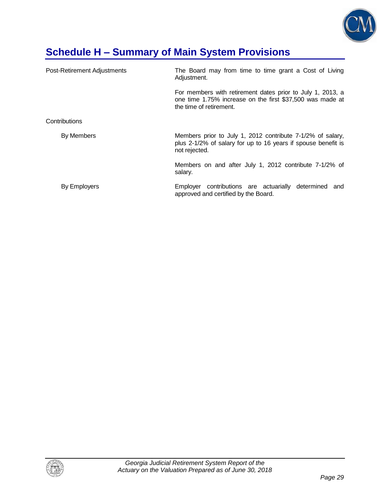

# **Schedule H – Summary of Main System Provisions**

| Post-Retirement Adjustments | The Board may from time to time grant a Cost of Living<br>Adjustment.                                                                              |  |  |  |  |  |
|-----------------------------|----------------------------------------------------------------------------------------------------------------------------------------------------|--|--|--|--|--|
|                             | For members with retirement dates prior to July 1, 2013, a<br>one time 1.75% increase on the first \$37,500 was made at<br>the time of retirement. |  |  |  |  |  |
| Contributions               |                                                                                                                                                    |  |  |  |  |  |
| By Members                  | Members prior to July 1, 2012 contribute 7-1/2% of salary,<br>plus 2-1/2% of salary for up to 16 years if spouse benefit is<br>not rejected.       |  |  |  |  |  |
|                             | Members on and after July 1, 2012 contribute 7-1/2% of<br>salary.                                                                                  |  |  |  |  |  |
| By Employers                | Employer contributions are actuarially determined and<br>approved and certified by the Board.                                                      |  |  |  |  |  |

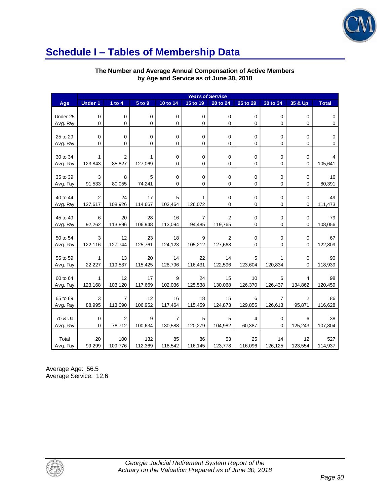

### **Schedule I – Tables of Membership Data**

#### **The Number and Average Annual Compensation of Active Members by Age and Service as of June 30, 2018**

|          | <b>Years of Service</b> |                |            |             |                |                |              |                |                |              |
|----------|-------------------------|----------------|------------|-------------|----------------|----------------|--------------|----------------|----------------|--------------|
| Age      | <b>Under 1</b>          | 1 to $4$       | $5$ to $9$ | 10 to 14    | 15 to 19       | 20 to 24       | 25 to 29     | 30 to 34       | 35 & Up        | <b>Total</b> |
|          |                         |                |            |             |                |                |              |                |                |              |
| Under 25 | $\pmb{0}$               | $\mathbf 0$    | $\pmb{0}$  | $\pmb{0}$   | $\mathbf 0$    | $\pmb{0}$      | $\mathbf 0$  | 0              | $\mathbf 0$    | $\pmb{0}$    |
| Avg. Pay | $\mathbf 0$             | $\Omega$       | 0          | 0           | 0              | 0              | $\mathbf{0}$ | 0              | 0              | $\mathbf 0$  |
|          |                         |                |            |             |                |                |              |                |                |              |
| 25 to 29 | 0                       | 0              | 0          | 0           | 0              | 0              | 0            | 0              | 0              | $\mathbf 0$  |
| Avg. Pay | $\mathbf 0$             | $\Omega$       | 0          | 0           | $\mathbf 0$    | 0              | $\mathbf 0$  | 0              | 0              | $\mathbf 0$  |
|          |                         |                |            |             |                |                |              |                |                |              |
| 30 to 34 | $\mathbf{1}$            | $\overline{2}$ | 1          | 0           | 0              | 0              | 0            | 0              | 0              | 4            |
| Avg. Pay | 123,843                 | 85,827         | 127,069    | 0           | $\mathbf 0$    | 0              | $\mathbf 0$  | 0              | 0              | 105,641      |
|          |                         |                |            |             |                |                |              |                |                |              |
| 35 to 39 | 3                       | 8              | 5          | $\mathbf 0$ | $\mathbf 0$    | 0              | $\mathbf 0$  | 0              | $\mathbf 0$    | 16           |
| Avg. Pay | 91,533                  | 80,055         | 74,241     | 0           | 0              | 0              | $\mathbf 0$  | 0              | 0              | 80,391       |
|          |                         |                |            |             |                |                |              |                |                |              |
| 40 to 44 | $\overline{2}$          | 24             | 17         | 5           | 1              | 0              | 0            | 0              | 0              | 49           |
| Avg. Pay | 127,617                 | 108,926        | 114,667    | 103,464     | 126,072        | 0              | $\mathbf 0$  | 0              | 0              | 111,473      |
|          |                         |                |            |             |                |                |              |                |                |              |
| 45 to 49 | 6                       | 20             | 28         | 16          | $\overline{7}$ | 2              | 0            | 0              | 0              | 79           |
| Avg. Pay | 92,262                  | 113,896        | 106,948    | 113,094     | 94,485         | 119,765        | 0            | 0              | 0              | 108,056      |
|          |                         |                |            |             |                |                |              |                |                |              |
| 50 to 54 | 3                       | 12             | 23         | 18          | 9              | $\overline{2}$ | 0            | 0              | $\mathbf 0$    | 67           |
| Avg. Pay | 122,116                 | 127,744        | 125,761    | 124,123     | 105,212        | 127,668        | $\Omega$     | 0              | 0              | 122,809      |
|          |                         |                |            |             |                |                |              |                |                |              |
| 55 to 59 | $\mathbf{1}$            | 13             | 20         | 14          | 22             | 14             | 5            | 1              | $\mathbf 0$    | 90           |
| Avg. Pay | 22,227                  | 119,537        | 115,425    | 128,796     | 116,431        | 122,596        | 123,604      | 120,834        | 0              | 118,939      |
|          |                         |                |            |             |                |                |              |                |                |              |
| 60 to 64 | $\mathbf{1}$            | 12             | 17         | 9           | 24             | 15             | 10           | 6              | 4              | 98           |
| Avg. Pay | 123,168                 | 103,120        | 117,669    | 102,036     | 125,538        | 130,068        | 126,370      | 126,437        | 134,862        | 120,459      |
|          |                         |                |            |             |                |                |              |                |                |              |
| 65 to 69 | 3                       | $\overline{7}$ | 12         | 16          | 18             | 15             | 6            | $\overline{7}$ | $\overline{2}$ | 86           |
| Avg. Pay | 88,995                  | 113,090        | 106,952    | 117,464     | 115,459        | 124,873        | 129,855      | 126,613        | 95,871         | 116,628      |
|          |                         |                |            |             |                |                |              |                |                |              |
| 70 & Up  | 0                       | $\overline{2}$ | 9          | 7           | 5              | 5              | 4            | 0              | 6              | 38           |
| Avg. Pay | $\mathbf 0$             | 78,712         | 100,634    | 130,588     | 120,279        | 104,982        | 60,387       | $\Omega$       | 125,243        | 107,804      |
|          |                         |                |            |             |                |                |              |                |                |              |
| Total    | 20                      | 100            | 132        | 85          | 86             | 53             | 25           | 14             | 12             | 527          |
| Avg. Pay | 99,299                  | 109,776        | 112,369    | 118,542     | 116,145        | 123,778        | 116,096      | 126,125        | 123,554        | 114,937      |

Average Age: 56.5 Average Service: 12.6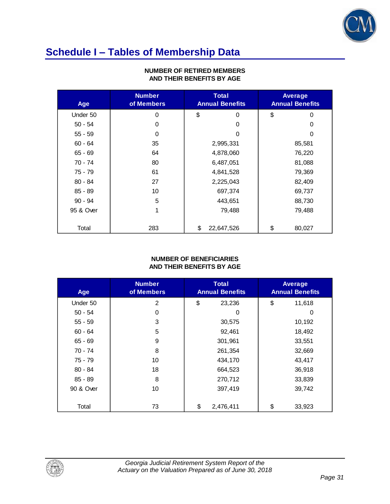

# **Schedule I – Tables of Membership Data**

| Age       | <b>Number</b><br>of Members | Total<br><b>Annual Benefits</b> |            | <b>Average</b><br><b>Annual Benefits</b> |          |
|-----------|-----------------------------|---------------------------------|------------|------------------------------------------|----------|
| Under 50  | $\Omega$                    | \$                              | 0          | \$                                       | $\Omega$ |
| $50 - 54$ | 0                           |                                 | 0          |                                          | 0        |
| $55 - 59$ | $\mathbf 0$                 |                                 | 0          |                                          | 0        |
| $60 - 64$ | 35                          |                                 | 2,995,331  |                                          | 85,581   |
| $65 - 69$ | 64                          |                                 | 4,878,060  |                                          | 76,220   |
| 70 - 74   | 80                          |                                 | 6,487,051  |                                          | 81,088   |
| 75 - 79   | 61                          |                                 | 4,841,528  |                                          | 79,369   |
| $80 - 84$ | 27                          |                                 | 2,225,043  |                                          | 82,409   |
| $85 - 89$ | 10                          |                                 | 697,374    |                                          | 69,737   |
| $90 - 94$ | 5                           |                                 | 443,651    |                                          | 88,730   |
| 95 & Over | 1                           |                                 | 79,488     |                                          | 79,488   |
|           |                             |                                 |            |                                          |          |
| Total     | 283                         | \$                              | 22,647,526 | \$                                       | 80,027   |

#### **NUMBER OF RETIRED MEMBERS AND THEIR BENEFITS BY AGE**

#### **NUMBER OF BENEFICIARIES AND THEIR BENEFITS BY AGE**

| Age       | <b>Number</b><br>of Members | <b>Total</b><br><b>Annual Benefits</b> |           | Average<br><b>Annual Benefits</b> |
|-----------|-----------------------------|----------------------------------------|-----------|-----------------------------------|
| Under 50  | $\overline{2}$              | \$                                     | 23,236    | \$<br>11,618                      |
| $50 - 54$ | 0                           |                                        | 0         | 0                                 |
| $55 - 59$ | 3                           |                                        | 30,575    | 10,192                            |
| $60 - 64$ | 5                           |                                        | 92,461    | 18,492                            |
| $65 - 69$ | 9                           |                                        | 301,961   | 33,551                            |
| 70 - 74   | 8                           |                                        | 261,354   | 32,669                            |
| 75 - 79   | 10                          |                                        | 434,170   | 43,417                            |
| $80 - 84$ | 18                          |                                        | 664,523   | 36,918                            |
| $85 - 89$ | 8                           |                                        | 270,712   | 33,839                            |
| 90 & Over | 10                          |                                        | 397,419   | 39,742                            |
| Total     | 73                          | \$                                     | 2,476,411 | \$<br>33,923                      |

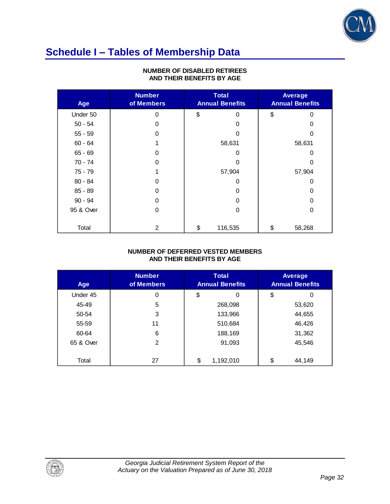

## **Schedule I – Tables of Membership Data**

| Age       | <b>Number</b><br>of Members | <b>Total</b><br><b>Annual Benefits</b> |         | Average<br><b>Annual Benefits</b> |        |
|-----------|-----------------------------|----------------------------------------|---------|-----------------------------------|--------|
| Under 50  | 0                           | \$                                     | 0       | \$                                | 0      |
| $50 - 54$ | 0                           |                                        | 0       |                                   | 0      |
| $55 - 59$ | $\Omega$                    |                                        | ი       |                                   | ი      |
| $60 - 64$ |                             |                                        | 58,631  |                                   | 58,631 |
| $65 - 69$ | 0                           | 0                                      |         |                                   | O      |
| $70 - 74$ | $\Omega$                    | 0                                      |         |                                   | Ω      |
| $75 - 79$ |                             |                                        | 57,904  |                                   | 57,904 |
| $80 - 84$ | 0                           |                                        | 0       |                                   | 0      |
| $85 - 89$ | $\Omega$                    | Ω                                      |         |                                   | O      |
| $90 - 94$ | 0                           | 0                                      |         |                                   | 0      |
| 95 & Over | 0                           |                                        | 0       |                                   | 0      |
|           |                             |                                        |         |                                   |        |
| Total     | 2                           | \$                                     | 116,535 | \$                                | 58,268 |

#### **NUMBER OF DISABLED RETIREES AND THEIR BENEFITS BY AGE**

#### **NUMBER OF DEFERRED VESTED MEMBERS AND THEIR BENEFITS BY AGE**

| Age       | <b>Number</b><br>of Members | <b>Total</b><br><b>Annual Benefits</b> |           | <b>Average</b><br><b>Annual Benefits</b> |
|-----------|-----------------------------|----------------------------------------|-----------|------------------------------------------|
| Under 45  | 0                           | \$                                     | 0         | \$<br>0                                  |
| 45-49     | 5                           |                                        | 268,098   | 53,620                                   |
| 50-54     | 3                           |                                        | 133,966   | 44,655                                   |
| 55-59     | 11                          |                                        | 510,684   | 46,426                                   |
| 60-64     | 6                           |                                        | 188,169   | 31,362                                   |
| 65 & Over | $\mathfrak{p}$              |                                        | 91,093    | 45,546                                   |
|           |                             |                                        |           |                                          |
| Total     | 27                          | \$                                     | 1,192,010 | \$<br>44,149                             |